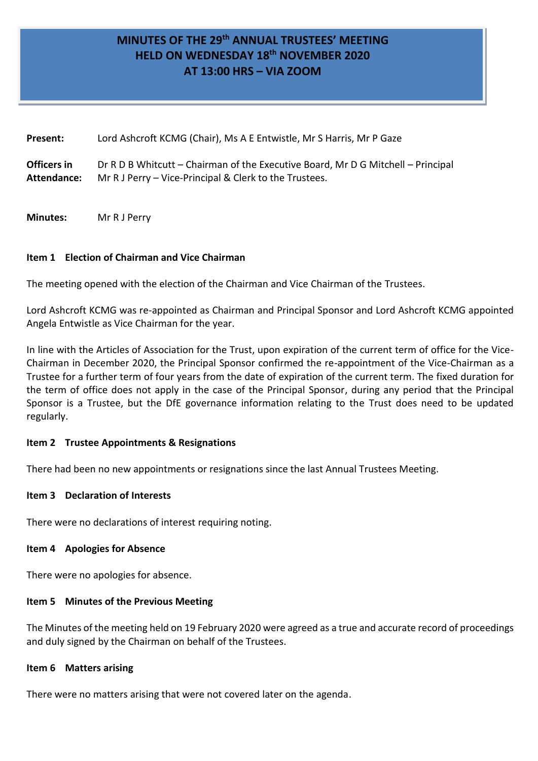# **MINUTES OF THE 29 th ANNUAL TRUSTEES' MEETING HELD ON WEDNESDAY 18 th NOVEMBER 2020 AT 13:00 HRS – VIA ZOOM**

| Present:    | Lord Ashcroft KCMG (Chair), Ms A E Entwistle, Mr S Harris, Mr P Gaze             |
|-------------|----------------------------------------------------------------------------------|
| Officers in | Dr R D B Whitcutt – Chairman of the Executive Board, Mr D G Mitchell – Principal |
| Attendance: | Mr R J Perry – Vice-Principal & Clerk to the Trustees.                           |

**Minutes:** Mr R J Perry

## **Item 1 Election of Chairman and Vice Chairman**

The meeting opened with the election of the Chairman and Vice Chairman of the Trustees.

Lord Ashcroft KCMG was re-appointed as Chairman and Principal Sponsor and Lord Ashcroft KCMG appointed Angela Entwistle as Vice Chairman for the year.

In line with the Articles of Association for the Trust, upon expiration of the current term of office for the Vice-Chairman in December 2020, the Principal Sponsor confirmed the re-appointment of the Vice-Chairman as a Trustee for a further term of four years from the date of expiration of the current term. The fixed duration for the term of office does not apply in the case of the Principal Sponsor, during any period that the Principal Sponsor is a Trustee, but the DfE governance information relating to the Trust does need to be updated regularly.

## **Item 2 Trustee Appointments & Resignations**

There had been no new appointments or resignations since the last Annual Trustees Meeting.

## **Item 3 Declaration of Interests**

There were no declarations of interest requiring noting.

#### **Item 4 Apologies for Absence**

There were no apologies for absence.

## **Item 5 Minutes of the Previous Meeting**

The Minutes of the meeting held on 19 February 2020 were agreed as a true and accurate record of proceedings and duly signed by the Chairman on behalf of the Trustees.

#### **Item 6 Matters arising**

There were no matters arising that were not covered later on the agenda.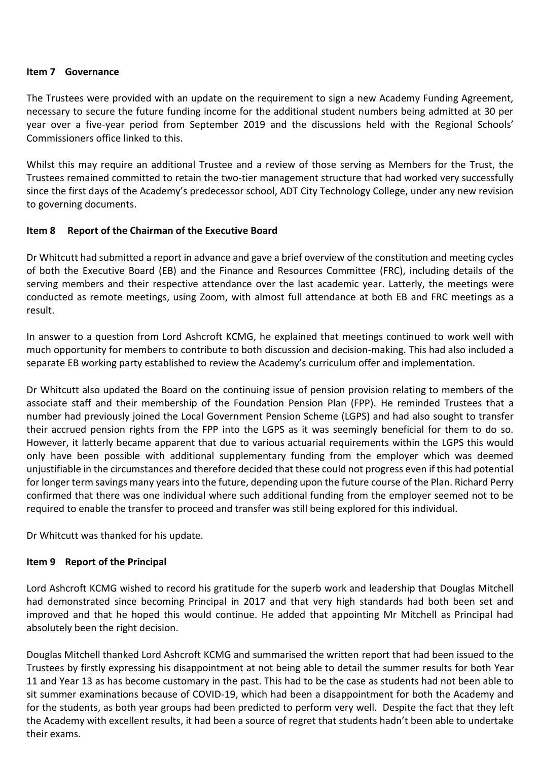#### **Item 7 Governance**

The Trustees were provided with an update on the requirement to sign a new Academy Funding Agreement, necessary to secure the future funding income for the additional student numbers being admitted at 30 per year over a five-year period from September 2019 and the discussions held with the Regional Schools' Commissioners office linked to this.

Whilst this may require an additional Trustee and a review of those serving as Members for the Trust, the Trustees remained committed to retain the two-tier management structure that had worked very successfully since the first days of the Academy's predecessor school, ADT City Technology College, under any new revision to governing documents.

## **Item 8 Report of the Chairman of the Executive Board**

Dr Whitcutt had submitted a report in advance and gave a brief overview of the constitution and meeting cycles of both the Executive Board (EB) and the Finance and Resources Committee (FRC), including details of the serving members and their respective attendance over the last academic year. Latterly, the meetings were conducted as remote meetings, using Zoom, with almost full attendance at both EB and FRC meetings as a result.

In answer to a question from Lord Ashcroft KCMG, he explained that meetings continued to work well with much opportunity for members to contribute to both discussion and decision-making. This had also included a separate EB working party established to review the Academy's curriculum offer and implementation.

Dr Whitcutt also updated the Board on the continuing issue of pension provision relating to members of the associate staff and their membership of the Foundation Pension Plan (FPP). He reminded Trustees that a number had previously joined the Local Government Pension Scheme (LGPS) and had also sought to transfer their accrued pension rights from the FPP into the LGPS as it was seemingly beneficial for them to do so. However, it latterly became apparent that due to various actuarial requirements within the LGPS this would only have been possible with additional supplementary funding from the employer which was deemed unjustifiable in the circumstances and therefore decided that these could not progress even if this had potential for longer term savings many years into the future, depending upon the future course of the Plan. Richard Perry confirmed that there was one individual where such additional funding from the employer seemed not to be required to enable the transfer to proceed and transfer was still being explored for this individual.

Dr Whitcutt was thanked for his update.

## **Item 9 Report of the Principal**

Lord Ashcroft KCMG wished to record his gratitude for the superb work and leadership that Douglas Mitchell had demonstrated since becoming Principal in 2017 and that very high standards had both been set and improved and that he hoped this would continue. He added that appointing Mr Mitchell as Principal had absolutely been the right decision.

Douglas Mitchell thanked Lord Ashcroft KCMG and summarised the written report that had been issued to the Trustees by firstly expressing his disappointment at not being able to detail the summer results for both Year 11 and Year 13 as has become customary in the past. This had to be the case as students had not been able to sit summer examinations because of COVID-19, which had been a disappointment for both the Academy and for the students, as both year groups had been predicted to perform very well. Despite the fact that they left the Academy with excellent results, it had been a source of regret that students hadn't been able to undertake their exams.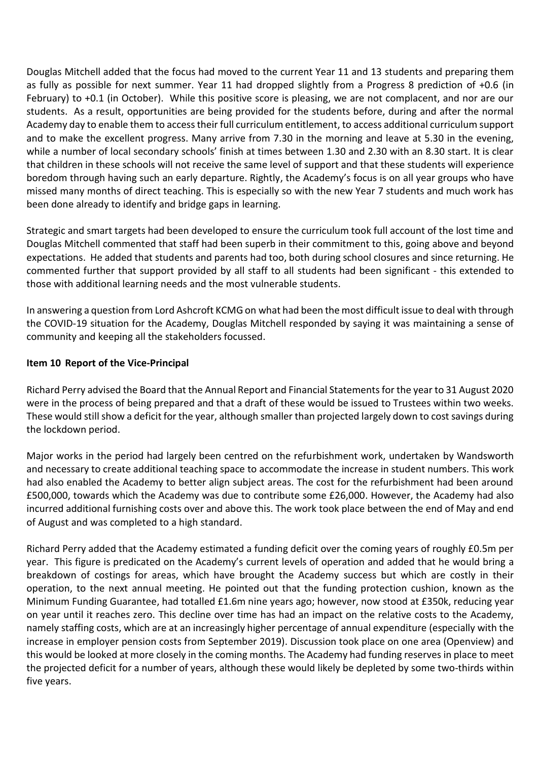Douglas Mitchell added that the focus had moved to the current Year 11 and 13 students and preparing them as fully as possible for next summer. Year 11 had dropped slightly from a Progress 8 prediction of +0.6 (in February) to +0.1 (in October). While this positive score is pleasing, we are not complacent, and nor are our students. As a result, opportunities are being provided for the students before, during and after the normal Academy day to enable them to access their full curriculum entitlement, to access additional curriculum support and to make the excellent progress. Many arrive from 7.30 in the morning and leave at 5.30 in the evening, while a number of local secondary schools' finish at times between 1.30 and 2.30 with an 8.30 start. It is clear that children in these schools will not receive the same level of support and that these students will experience boredom through having such an early departure. Rightly, the Academy's focus is on all year groups who have missed many months of direct teaching. This is especially so with the new Year 7 students and much work has been done already to identify and bridge gaps in learning.

Strategic and smart targets had been developed to ensure the curriculum took full account of the lost time and Douglas Mitchell commented that staff had been superb in their commitment to this, going above and beyond expectations. He added that students and parents had too, both during school closures and since returning. He commented further that support provided by all staff to all students had been significant - this extended to those with additional learning needs and the most vulnerable students.

In answering a question from Lord Ashcroft KCMG on what had been the most difficult issue to deal with through the COVID-19 situation for the Academy, Douglas Mitchell responded by saying it was maintaining a sense of community and keeping all the stakeholders focussed.

## **Item 10 Report of the Vice-Principal**

Richard Perry advised the Board that the Annual Report and Financial Statements for the year to 31 August 2020 were in the process of being prepared and that a draft of these would be issued to Trustees within two weeks. These would still show a deficit for the year, although smaller than projected largely down to cost savings during the lockdown period.

Major works in the period had largely been centred on the refurbishment work, undertaken by Wandsworth and necessary to create additional teaching space to accommodate the increase in student numbers. This work had also enabled the Academy to better align subject areas. The cost for the refurbishment had been around £500,000, towards which the Academy was due to contribute some £26,000. However, the Academy had also incurred additional furnishing costs over and above this. The work took place between the end of May and end of August and was completed to a high standard.

Richard Perry added that the Academy estimated a funding deficit over the coming years of roughly £0.5m per year. This figure is predicated on the Academy's current levels of operation and added that he would bring a breakdown of costings for areas, which have brought the Academy success but which are costly in their operation, to the next annual meeting. He pointed out that the funding protection cushion, known as the Minimum Funding Guarantee, had totalled £1.6m nine years ago; however, now stood at £350k, reducing year on year until it reaches zero. This decline over time has had an impact on the relative costs to the Academy, namely staffing costs, which are at an increasingly higher percentage of annual expenditure (especially with the increase in employer pension costs from September 2019). Discussion took place on one area (Openview) and this would be looked at more closely in the coming months. The Academy had funding reserves in place to meet the projected deficit for a number of years, although these would likely be depleted by some two-thirds within five years.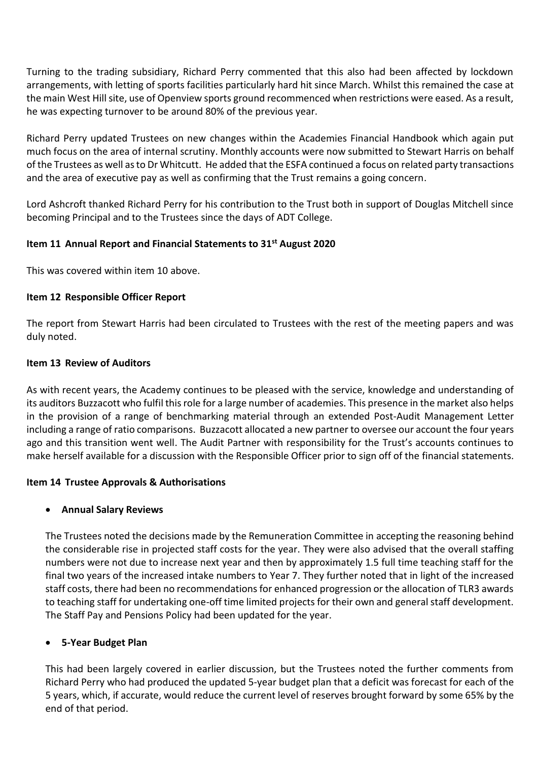Turning to the trading subsidiary, Richard Perry commented that this also had been affected by lockdown arrangements, with letting of sports facilities particularly hard hit since March. Whilst this remained the case at the main West Hill site, use of Openview sports ground recommenced when restrictions were eased. As a result, he was expecting turnover to be around 80% of the previous year.

Richard Perry updated Trustees on new changes within the Academies Financial Handbook which again put much focus on the area of internal scrutiny. Monthly accounts were now submitted to Stewart Harris on behalf of the Trustees as well as to Dr Whitcutt. He added that the ESFA continued a focus on related party transactions and the area of executive pay as well as confirming that the Trust remains a going concern.

Lord Ashcroft thanked Richard Perry for his contribution to the Trust both in support of Douglas Mitchell since becoming Principal and to the Trustees since the days of ADT College.

## **Item 11 Annual Report and Financial Statements to 31st August 2020**

This was covered within item 10 above.

## **Item 12 Responsible Officer Report**

The report from Stewart Harris had been circulated to Trustees with the rest of the meeting papers and was duly noted.

#### **Item 13 Review of Auditors**

As with recent years, the Academy continues to be pleased with the service, knowledge and understanding of its auditors Buzzacott who fulfil this role for a large number of academies. This presence in the market also helps in the provision of a range of benchmarking material through an extended Post-Audit Management Letter including a range of ratio comparisons. Buzzacott allocated a new partner to oversee our account the four years ago and this transition went well. The Audit Partner with responsibility for the Trust's accounts continues to make herself available for a discussion with the Responsible Officer prior to sign off of the financial statements.

## **Item 14 Trustee Approvals & Authorisations**

## **Annual Salary Reviews**

The Trustees noted the decisions made by the Remuneration Committee in accepting the reasoning behind the considerable rise in projected staff costs for the year. They were also advised that the overall staffing numbers were not due to increase next year and then by approximately 1.5 full time teaching staff for the final two years of the increased intake numbers to Year 7. They further noted that in light of the increased staff costs, there had been no recommendations for enhanced progression or the allocation of TLR3 awards to teaching staff for undertaking one-off time limited projects for their own and general staff development. The Staff Pay and Pensions Policy had been updated for the year.

## **5-Year Budget Plan**

This had been largely covered in earlier discussion, but the Trustees noted the further comments from Richard Perry who had produced the updated 5-year budget plan that a deficit was forecast for each of the 5 years, which, if accurate, would reduce the current level of reserves brought forward by some 65% by the end of that period.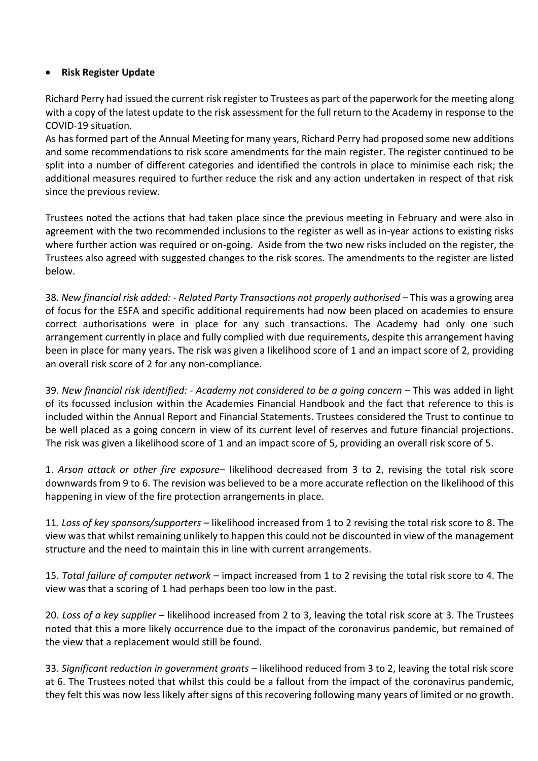## **Risk Register Update**

Richard Perry had issued the current risk register to Trustees as part of the paperwork for the meeting along with a copy of the latest update to the risk assessment for the full return to the Academy in response to the COVID-19 situation.

As has formed part of the Annual Meeting for many years, Richard Perry had proposed some new additions and some recommendations to risk score amendments for the main register. The register continued to be split into a number of different categories and identified the controls in place to minimise each risk; the additional measures required to further reduce the risk and any action undertaken in respect of that risk since the previous review.

Trustees noted the actions that had taken place since the previous meeting in February and were also in agreement with the two recommended inclusions to the register as well as in-year actions to existing risks where further action was required or on-going. Aside from the two new risks included on the register, the Trustees also agreed with suggested changes to the risk scores. The amendments to the register are listed below.

38. *New financial risk added: - Related Party Transactions not properly authorised –* This was a growing area of focus for the ESFA and specific additional requirements had now been placed on academies to ensure correct authorisations were in place for any such transactions. The Academy had only one such arrangement currently in place and fully complied with due requirements, despite this arrangement having been in place for many years. The risk was given a likelihood score of 1 and an impact score of 2, providing an overall risk score of 2 for any non-compliance.

39. *New financial risk identified: - Academy not considered to be a going concern –* This was added in light of its focussed inclusion within the Academies Financial Handbook and the fact that reference to this is included within the Annual Report and Financial Statements. Trustees considered the Trust to continue to be well placed as a going concern in view of its current level of reserves and future financial projections. The risk was given a likelihood score of 1 and an impact score of 5, providing an overall risk score of 5.

1. *Arson attack or other fire exposure*– likelihood decreased from 3 to 2, revising the total risk score downwards from 9 to 6. The revision was believed to be a more accurate reflection on the likelihood of this happening in view of the fire protection arrangements in place.

11. *Loss of key sponsors/supporters* – likelihood increased from 1 to 2 revising the total risk score to 8. The view was that whilst remaining unlikely to happen this could not be discounted in view of the management structure and the need to maintain this in line with current arrangements.

15. *Total failure of computer network* – impact increased from 1 to 2 revising the total risk score to 4. The view was that a scoring of 1 had perhaps been too low in the past.

20. *Loss of a key supplier* – likelihood increased from 2 to 3, leaving the total risk score at 3. The Trustees noted that this a more likely occurrence due to the impact of the coronavirus pandemic, but remained of the view that a replacement would still be found.

33. *Significant reduction in government grants* – likelihood reduced from 3 to 2, leaving the total risk score at 6. The Trustees noted that whilst this could be a fallout from the impact of the coronavirus pandemic, they felt this was now less likely after signs of this recovering following many years of limited or no growth.